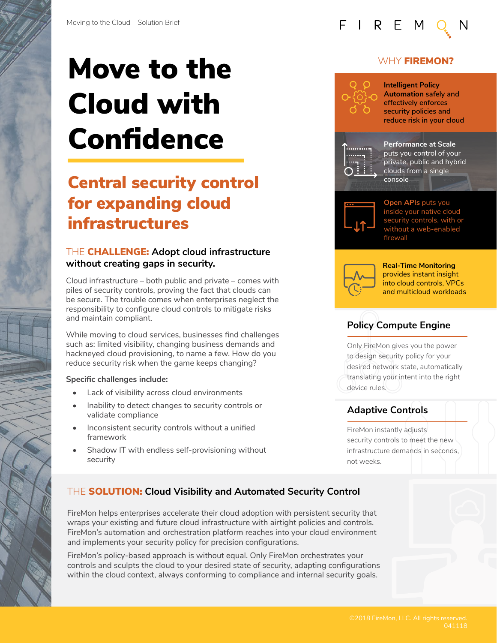# Move to the Cloud with Confidence

# Central security control for expanding cloud infrastructures

### THE CHALLENGE: **Adopt cloud infrastructure without creating gaps in security.**

Cloud infrastructure – both public and private – comes with piles of security controls, proving the fact that clouds can be secure. The trouble comes when enterprises neglect the responsibility to configure cloud controls to mitigate risks and maintain compliant.

While moving to cloud services, businesses find challenges such as: limited visibility, changing business demands and hackneyed cloud provisioning, to name a few. How do you reduce security risk when the game keeps changing?

#### **Specific challenges include:**

- Lack of visibility across cloud environments
- Inability to detect changes to security controls or validate compliance
- Inconsistent security controls without a unified framework
- Shadow IT with endless self-provisioning without security

### WHY **FIREMON?**

## **Intelligent Policy Automation safely and effectively enforces security policies and reduce risk in your cloud**

FIREM



**Performance at Scale**  puts you control of your private, public and hybrid clouds from a single console



**Open APIs** puts you inside your native cloud security controls, with or without a web-enab firewall



**Real-Time Monitoring**  provides instant insight into cloud controls, VPCs and multicloud workloads

# **Policy Compute Engine**

Only FireMon gives you the power to design security policy for your desired network state, automatically translating your intent into the right device rules.

## **Adaptive Controls**

FireMon instantly adjusts security controls to meet the new infrastructure demands in seconds, not weeks.

# THE SOLUTION: **Cloud Visibility and Automated Security Control**

FireMon helps enterprises accelerate their cloud adoption with persistent security that wraps your existing and future cloud infrastructure with airtight policies and controls. FireMon's automation and orchestration platform reaches into your cloud environment and implements your security policy for precision configurations.

FireMon's policy-based approach is without equal. Only FireMon orchestrates your controls and sculpts the cloud to your desired state of security, adapting configurations within the cloud context, always conforming to compliance and internal security goals.